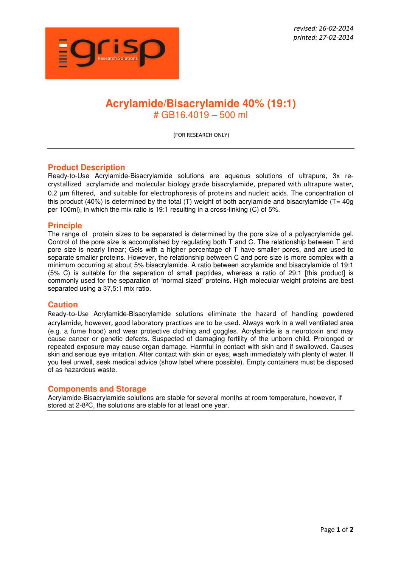

# **Acrylamide/Bisacrylamide 40% (19:1)**  # GB16.4019 – 500 ml

(FOR RESEARCH ONLY)

### **Product Description**

Ready-to-Use Acrylamide-Bisacrylamide solutions are aqueous solutions of ultrapure, 3x recrystallized acrylamide and molecular biology grade bisacrylamide, prepared with ultrapure water, 0.2 µm filtered, and suitable for electrophoresis of proteins and nucleic acids. The concentration of this product (40%) is determined by the total (T) weight of both acrylamide and bisacrylamide ( $T= 40g$ per 100ml), in which the mix ratio is 19:1 resulting in a cross-linking (C) of 5%.

#### **Principle**

The range of protein sizes to be separated is determined by the pore size of a polyacrylamide gel. Control of the pore size is accomplished by regulating both T and C. The relationship between T and pore size is nearly linear; Gels with a higher percentage of T have smaller pores, and are used to separate smaller proteins. However, the relationship between C and pore size is more complex with a minimum occurring at about 5% bisacrylamide. A ratio between acrylamide and bisacrylamide of 19:1 (5% C) is suitable for the separation of small peptides, whereas a ratio of 29:1 [this product] is commonly used for the separation of "normal sized" proteins. High molecular weight proteins are best separated using a 37,5:1 mix ratio.

#### **Caution**

Ready-to-Use Acrylamide-Bisacrylamide solutions eliminate the hazard of handling powdered acrylamide, however, good laboratory practices are to be used. Always work in a well ventilated area (e.g. a fume hood) and wear protective clothing and goggles. Acrylamide is a neurotoxin and may cause cancer or genetic defects. Suspected of damaging fertility of the unborn child. Prolonged or repeated exposure may cause organ damage. Harmful in contact with skin and if swallowed. Causes skin and serious eye irritation. After contact with skin or eyes, wash immediately with plenty of water. If you feel unwell, seek medical advice (show label where possible). Empty containers must be disposed of as hazardous waste.

### **Components and Storage**

Acrylamide-Bisacrylamide solutions are stable for several months at room temperature, however, if stored at 2-8ºC, the solutions are stable for at least one year.